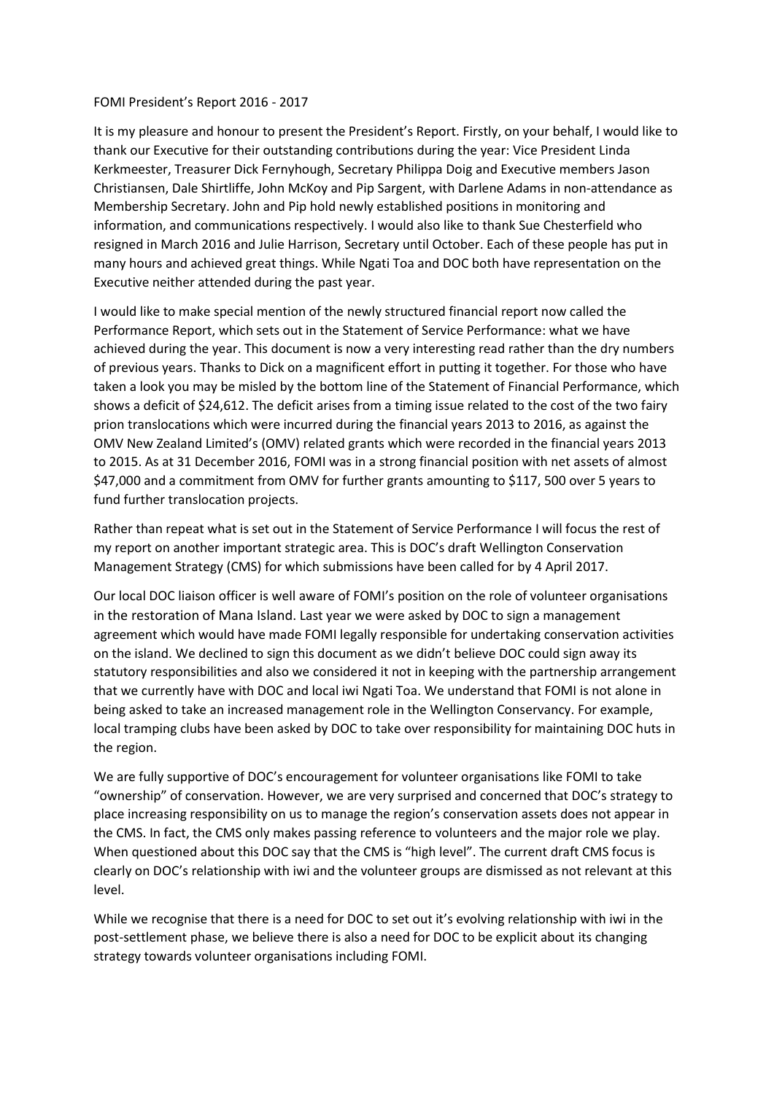## FOMI President's Report 2016 - 2017

It is my pleasure and honour to present the President's Report. Firstly, on your behalf, I would like to thank our Executive for their outstanding contributions during the year: Vice President Linda Kerkmeester, Treasurer Dick Fernyhough, Secretary Philippa Doig and Executive members Jason Christiansen, Dale Shirtliffe, John McKoy and Pip Sargent, with Darlene Adams in non-attendance as Membership Secretary. John and Pip hold newly established positions in monitoring and information, and communications respectively. I would also like to thank Sue Chesterfield who resigned in March 2016 and Julie Harrison, Secretary until October. Each of these people has put in many hours and achieved great things. While Ngati Toa and DOC both have representation on the Executive neither attended during the past year.

I would like to make special mention of the newly structured financial report now called the Performance Report, which sets out in the Statement of Service Performance: what we have achieved during the year. This document is now a very interesting read rather than the dry numbers of previous years. Thanks to Dick on a magnificent effort in putting it together. For those who have taken a look you may be misled by the bottom line of the Statement of Financial Performance, which shows a deficit of \$24,612. The deficit arises from a timing issue related to the cost of the two fairy prion translocations which were incurred during the financial years 2013 to 2016, as against the OMV New Zealand Limited's (OMV) related grants which were recorded in the financial years 2013 to 2015. As at 31 December 2016, FOMI was in a strong financial position with net assets of almost \$47,000 and a commitment from OMV for further grants amounting to \$117, 500 over 5 years to fund further translocation projects.

Rather than repeat what is set out in the Statement of Service Performance I will focus the rest of my report on another important strategic area. This is DOC's draft Wellington Conservation Management Strategy (CMS) for which submissions have been called for by 4 April 2017.

Our local DOC liaison officer is well aware of FOMI's position on the role of volunteer organisations in the restoration of Mana Island. Last year we were asked by DOC to sign a management agreement which would have made FOMI legally responsible for undertaking conservation activities on the island. We declined to sign this document as we didn't believe DOC could sign away its statutory responsibilities and also we considered it not in keeping with the partnership arrangement that we currently have with DOC and local iwi Ngati Toa. We understand that FOMI is not alone in being asked to take an increased management role in the Wellington Conservancy. For example, local tramping clubs have been asked by DOC to take over responsibility for maintaining DOC huts in the region.

We are fully supportive of DOC's encouragement for volunteer organisations like FOMI to take "ownership" of conservation. However, we are very surprised and concerned that DOC's strategy to place increasing responsibility on us to manage the region's conservation assets does not appear in the CMS. In fact, the CMS only makes passing reference to volunteers and the major role we play. When questioned about this DOC say that the CMS is "high level". The current draft CMS focus is clearly on DOC's relationship with iwi and the volunteer groups are dismissed as not relevant at this level.

While we recognise that there is a need for DOC to set out it's evolving relationship with iwi in the post-settlement phase, we believe there is also a need for DOC to be explicit about its changing strategy towards volunteer organisations including FOMI.